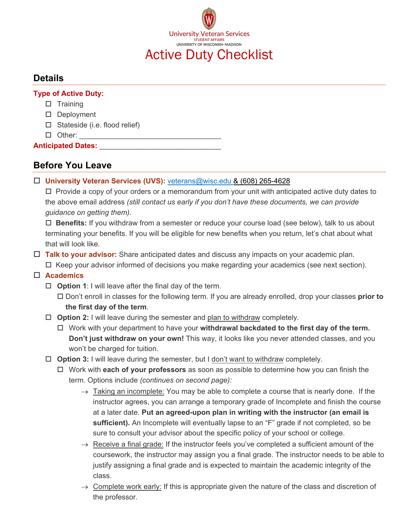

### **Details**

**Type of Active Duty:**

- $\square$  Training
- Deployment
- $\square$  Stateside (i.e. flood relief)
- $\Box$  Other:

**Anticipated Dates:** 

# **Before You Leave**

**University Veteran Services (UVS):** veterans@wisc.edu & (608) 265-4628

 $\Box$  Provide a copy of your orders or a memorandum from your unit with anticipated active duty dates to the above email address *(still contact us early if you don't have these documents, we can provide guidance on getting them).*

 **Benefits:** If you withdraw from a semester or reduce your course load (see below), talk to us about terminating your benefits. If you will be eligible for new benefits when you return, let's chat about what that will look like.

 **Talk to your advisor:** Share anticipated dates and discuss any impacts on your academic plan.  $\Box$  Keep your advisor informed of decisions you make regarding your academics (see next section).

## **Academics**

**Option 1**: I will leave after the final day of the term.

 Don't enroll in classes for the following term. If you are already enrolled, drop your classes **prior to the first day of the term**.

- **Option 2:** I will leave during the semester and plan to withdraw completely.
	- Work with your department to have your **withdrawal backdated to the first day of the term. Don't just withdraw on your own!** This way, it looks like you never attended classes, and you won't be charged for tuition.
- □ Option 3: I will leave during the semester, but I don't want to withdraw completely.
	- Work with **each of your professors** as soon as possible to determine how you can finish the term. Options include *(continues on second page):*
		- $\rightarrow$  Taking an incomplete: You may be able to complete a course that is nearly done. If the instructor agrees, you can arrange a temporary grade of Incomplete and finish the course at a later date. **Put an agreed-upon plan in writing with the instructor (an email is sufficient).** An Incomplete will eventually lapse to an "F" grade if not completed, so be sure to consult your advisor about the specific policy of your school or college.
		- $\rightarrow$  Receive a final grade: If the instructor feels you've completed a sufficient amount of the coursework, the instructor may assign you a final grade. The instructor needs to be able to justify assigning a final grade and is expected to maintain the academic integrity of the class.
		- $\rightarrow$  Complete work early: If this is appropriate given the nature of the class and discretion of the professor.